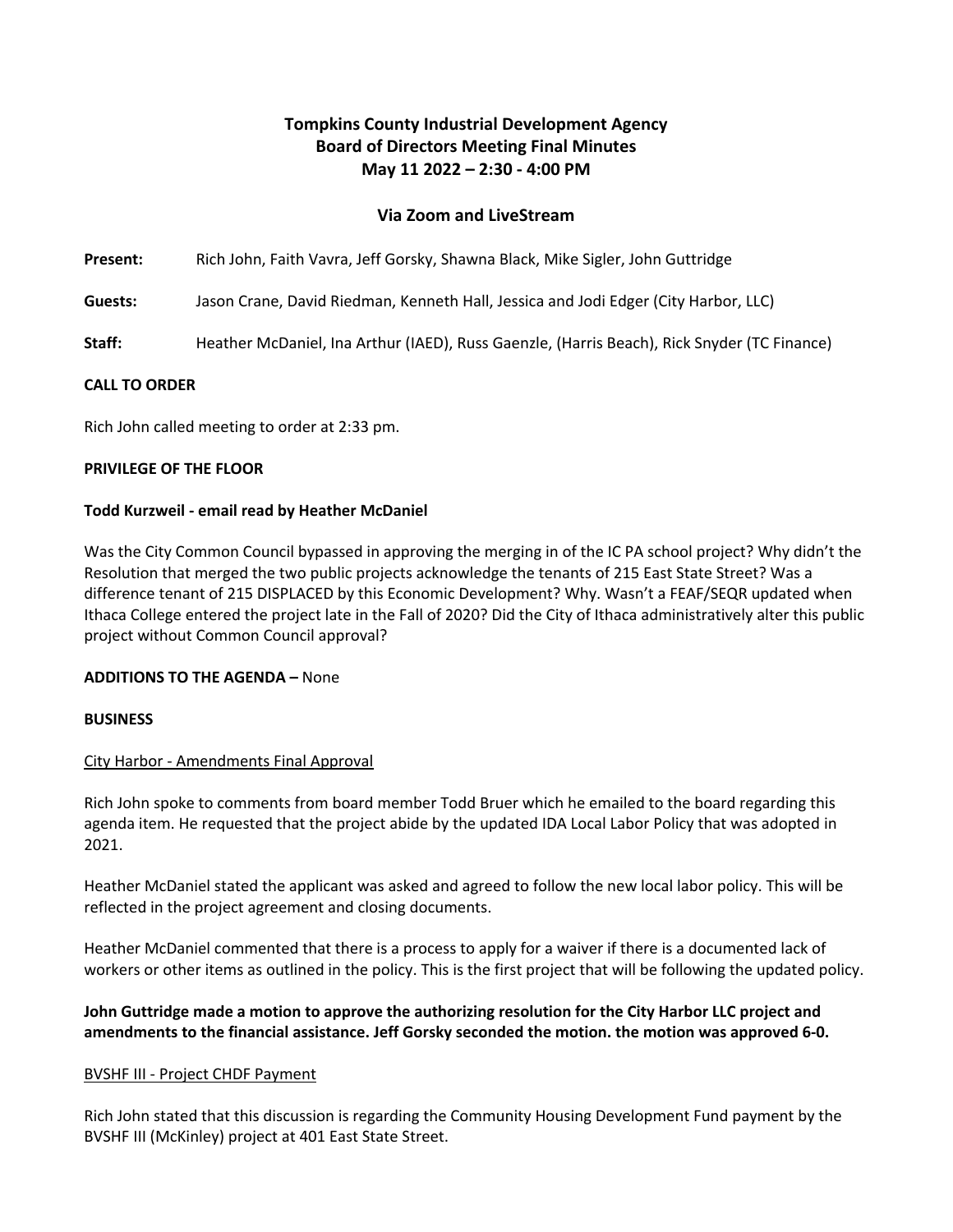# **Tompkins County Industrial Development Agency Board of Directors Meeting Final Minutes May 11 2022 – 2:30 - 4:00 PM**

## **Via Zoom and LiveStream**

**Present:** Rich John, Faith Vavra, Jeff Gorsky, Shawna Black, Mike Sigler, John Guttridge

**Guests:** Jason Crane, David Riedman, Kenneth Hall, Jessica and Jodi Edger (City Harbor, LLC)

**Staff:** Heather McDaniel, Ina Arthur (IAED), Russ Gaenzle, (Harris Beach), Rick Snyder (TC Finance)

## **CALL TO ORDER**

Rich John called meeting to order at 2:33 pm.

## **PRIVILEGE OF THE FLOOR**

#### **Todd Kurzweil - email read by Heather McDaniel**

Was the City Common Council bypassed in approving the merging in of the IC PA school project? Why didn't the Resolution that merged the two public projects acknowledge the tenants of 215 East State Street? Was a difference tenant of 215 DISPLACED by this Economic Development? Why. Wasn't a FEAF/SEQR updated when Ithaca College entered the project late in the Fall of 2020? Did the City of Ithaca administratively alter this public project without Common Council approval?

## **ADDITIONS TO THE AGENDA –** None

#### **BUSINESS**

## City Harbor - Amendments Final Approval

Rich John spoke to comments from board member Todd Bruer which he emailed to the board regarding this agenda item. He requested that the project abide by the updated IDA Local Labor Policy that was adopted in 2021.

Heather McDaniel stated the applicant was asked and agreed to follow the new local labor policy. This will be reflected in the project agreement and closing documents.

Heather McDaniel commented that there is a process to apply for a waiver if there is a documented lack of workers or other items as outlined in the policy. This is the first project that will be following the updated policy.

## **John Guttridge made a motion to approve the authorizing resolution for the City Harbor LLC project and amendments to the financial assistance. Jeff Gorsky seconded the motion. the motion was approved 6-0.**

## BVSHF III - Project CHDF Payment

Rich John stated that this discussion is regarding the Community Housing Development Fund payment by the BVSHF III (McKinley) project at 401 East State Street.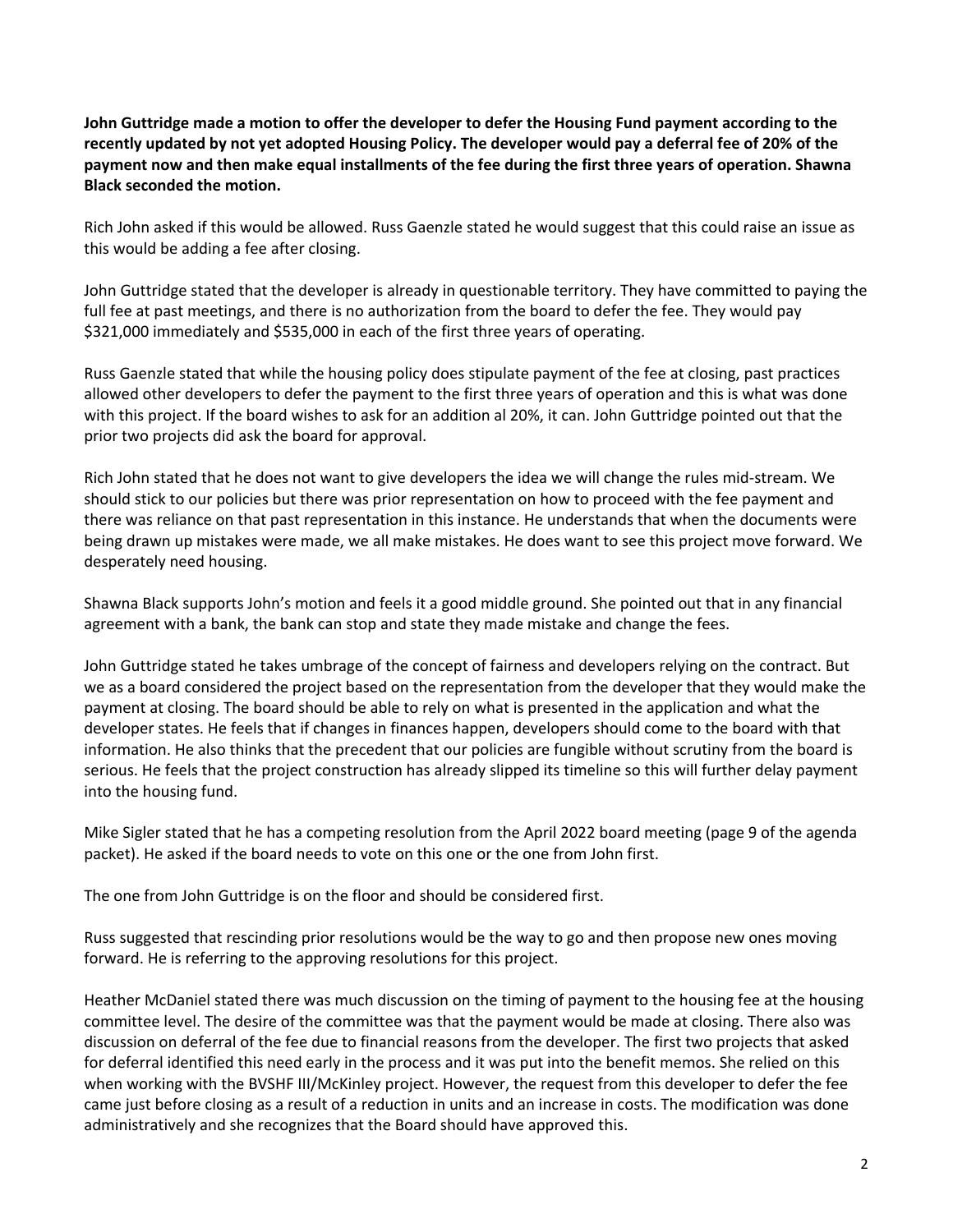**John Guttridge made a motion to offer the developer to defer the Housing Fund payment according to the recently updated by not yet adopted Housing Policy. The developer would pay a deferral fee of 20% of the payment now and then make equal installments of the fee during the first three years of operation. Shawna Black seconded the motion.**

Rich John asked if this would be allowed. Russ Gaenzle stated he would suggest that this could raise an issue as this would be adding a fee after closing.

John Guttridge stated that the developer is already in questionable territory. They have committed to paying the full fee at past meetings, and there is no authorization from the board to defer the fee. They would pay \$321,000 immediately and \$535,000 in each of the first three years of operating.

Russ Gaenzle stated that while the housing policy does stipulate payment of the fee at closing, past practices allowed other developers to defer the payment to the first three years of operation and this is what was done with this project. If the board wishes to ask for an addition al 20%, it can. John Guttridge pointed out that the prior two projects did ask the board for approval.

Rich John stated that he does not want to give developers the idea we will change the rules mid-stream. We should stick to our policies but there was prior representation on how to proceed with the fee payment and there was reliance on that past representation in this instance. He understands that when the documents were being drawn up mistakes were made, we all make mistakes. He does want to see this project move forward. We desperately need housing.

Shawna Black supports John's motion and feels it a good middle ground. She pointed out that in any financial agreement with a bank, the bank can stop and state they made mistake and change the fees.

John Guttridge stated he takes umbrage of the concept of fairness and developers relying on the contract. But we as a board considered the project based on the representation from the developer that they would make the payment at closing. The board should be able to rely on what is presented in the application and what the developer states. He feels that if changes in finances happen, developers should come to the board with that information. He also thinks that the precedent that our policies are fungible without scrutiny from the board is serious. He feels that the project construction has already slipped its timeline so this will further delay payment into the housing fund.

Mike Sigler stated that he has a competing resolution from the April 2022 board meeting (page 9 of the agenda packet). He asked if the board needs to vote on this one or the one from John first.

The one from John Guttridge is on the floor and should be considered first.

Russ suggested that rescinding prior resolutions would be the way to go and then propose new ones moving forward. He is referring to the approving resolutions for this project.

Heather McDaniel stated there was much discussion on the timing of payment to the housing fee at the housing committee level. The desire of the committee was that the payment would be made at closing. There also was discussion on deferral of the fee due to financial reasons from the developer. The first two projects that asked for deferral identified this need early in the process and it was put into the benefit memos. She relied on this when working with the BVSHF III/McKinley project. However, the request from this developer to defer the fee came just before closing as a result of a reduction in units and an increase in costs. The modification was done administratively and she recognizes that the Board should have approved this.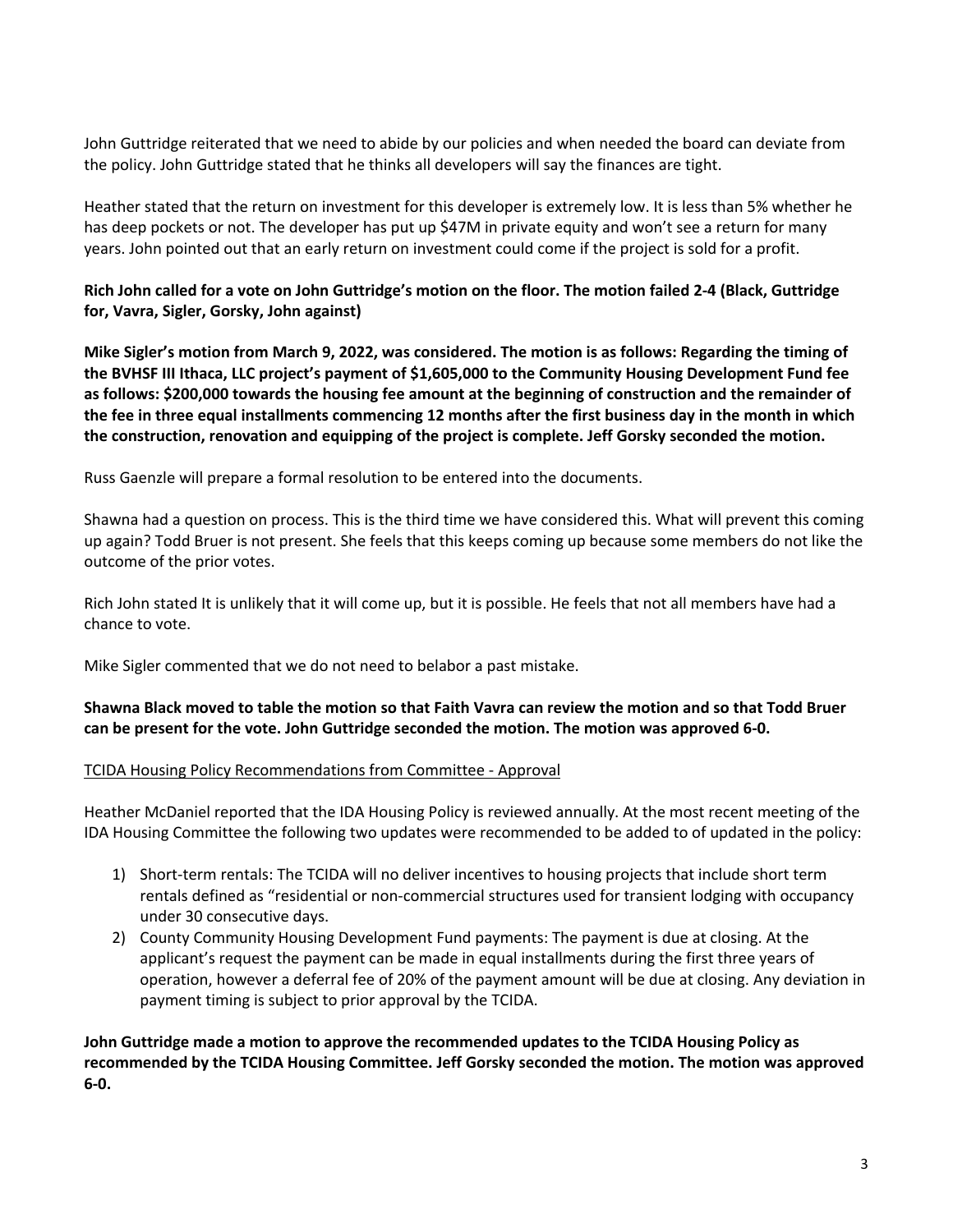John Guttridge reiterated that we need to abide by our policies and when needed the board can deviate from the policy. John Guttridge stated that he thinks all developers will say the finances are tight.

Heather stated that the return on investment for this developer is extremely low. It is less than 5% whether he has deep pockets or not. The developer has put up \$47M in private equity and won't see a return for many years. John pointed out that an early return on investment could come if the project is sold for a profit.

**Rich John called for a vote on John Guttridge's motion on the floor. The motion failed 2-4 (Black, Guttridge for, Vavra, Sigler, Gorsky, John against)**

**Mike Sigler's motion from March 9, 2022, was considered. The motion is as follows: Regarding the timing of the BVHSF III Ithaca, LLC project's payment of \$1,605,000 to the Community Housing Development Fund fee as follows: \$200,000 towards the housing fee amount at the beginning of construction and the remainder of the fee in three equal installments commencing 12 months after the first business day in the month in which the construction, renovation and equipping of the project is complete. Jeff Gorsky seconded the motion.**

Russ Gaenzle will prepare a formal resolution to be entered into the documents.

Shawna had a question on process. This is the third time we have considered this. What will prevent this coming up again? Todd Bruer is not present. She feels that this keeps coming up because some members do not like the outcome of the prior votes.

Rich John stated It is unlikely that it will come up, but it is possible. He feels that not all members have had a chance to vote.

Mike Sigler commented that we do not need to belabor a past mistake.

## **Shawna Black moved to table the motion so that Faith Vavra can review the motion and so that Todd Bruer can be present for the vote. John Guttridge seconded the motion. The motion was approved 6-0.**

## TCIDA Housing Policy Recommendations from Committee - Approval

Heather McDaniel reported that the IDA Housing Policy is reviewed annually. At the most recent meeting of the IDA Housing Committee the following two updates were recommended to be added to of updated in the policy:

- 1) Short-term rentals: The TCIDA will no deliver incentives to housing projects that include short term rentals defined as "residential or non-commercial structures used for transient lodging with occupancy under 30 consecutive days.
- 2) County Community Housing Development Fund payments: The payment is due at closing. At the applicant's request the payment can be made in equal installments during the first three years of operation, however a deferral fee of 20% of the payment amount will be due at closing. Any deviation in payment timing is subject to prior approval by the TCIDA.

**John Guttridge made a motion to approve the recommended updates to the TCIDA Housing Policy as recommended by the TCIDA Housing Committee. Jeff Gorsky seconded the motion. The motion was approved 6-0.**